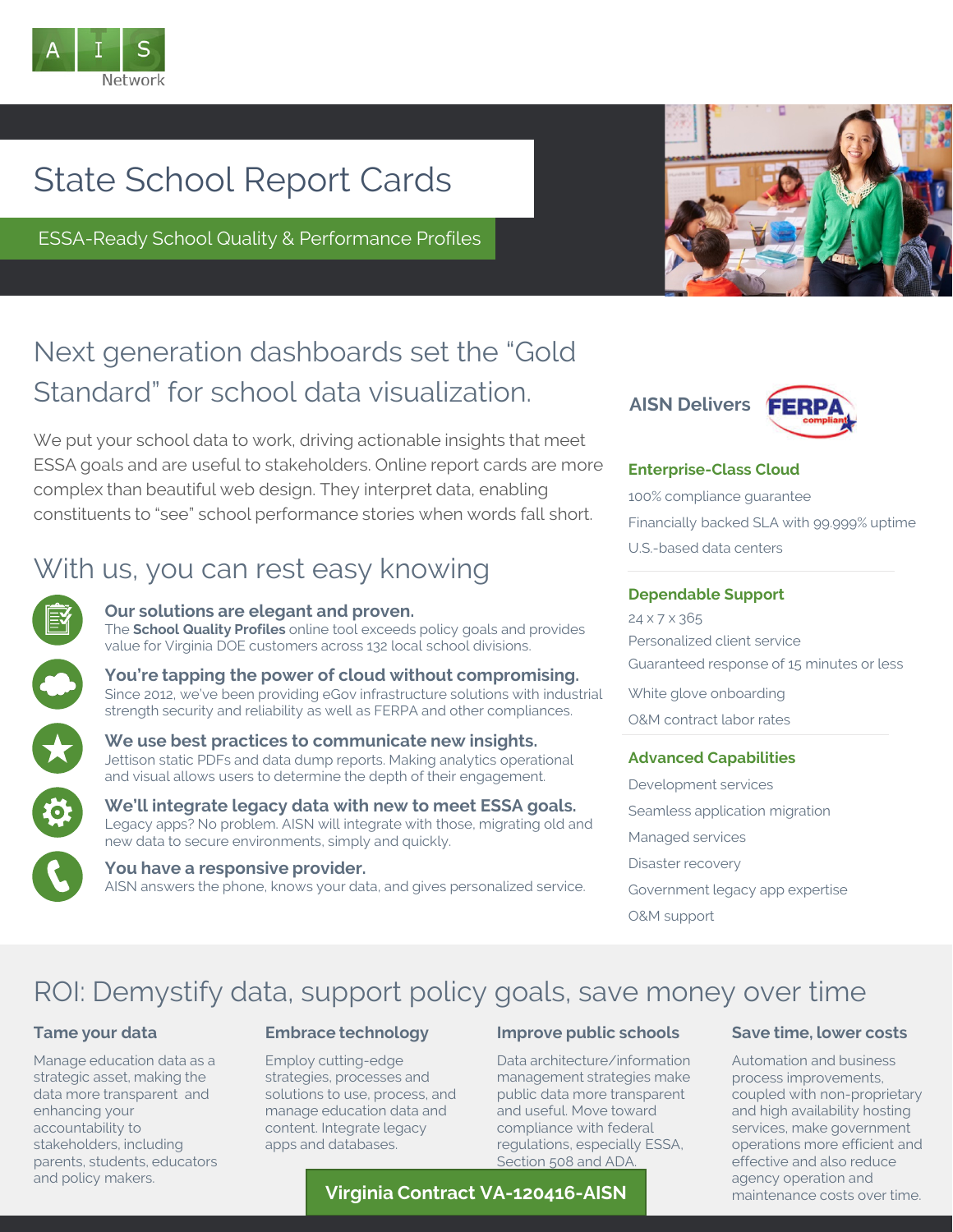

# State School Report Cards

ESSA-Ready School Quality & Performance Profiles



## Next generation dashboards set the "Gold Standard" for school data visualization.

We put your school data to work, driving actionable insights that meet ESSA goals and are useful to stakeholders. Online report cards are more complex than beautiful web design. They interpret data, enabling constituents to "see" school performance stories when words fall short.

## With us, you can rest easy knowing



#### **Our solutions are elegant and proven.**

The **School Quality Profiles** online tool exceeds policy goals and provides value for Virginia DOE customers across 132 local school divisions.

**You're tapping the power of cloud without compromising.** Since 2012, we've been providing eGov infrastructure solutions with industrial strength security and reliability as well as FERPA and other compliances.



**We use best practices to communicate new insights.**  Jettison static PDFs and data dump reports. Making analytics operational and visual allows users to determine the depth of their engagement.

**We'll integrate legacy data with new to meet ESSA goals.** Legacy apps? No problem. AISN will integrate with those, migrating old and new data to secure environments, simply and quickly.

**You have a responsive provider.** AISN answers the phone, knows your data, and gives personalized service.



#### **Enterprise-Class Cloud**

100% compliance guarantee Financially backed SLA with 99.999% uptime U.S.-based data centers

#### **Dependable Support**

24 x 7 x 365 Personalized client service Guaranteed response of 15 minutes or less

White glove onboarding O&M contract labor rates

#### **Advanced Capabilities**

Development services Seamless application migration Managed services Disaster recovery Government legacy app expertise O&M support

## ROI: Demystify data, support policy goals, save money over time

#### **Tame your data**

Manage education data as a strategic asset, making the data more transparent and enhancing your accountability to stakeholders, including parents, students, educators and policy makers.

#### **Embrace technology**

Employ cutting-edge strategies, processes and solutions to use, process, and manage education data and content. Integrate legacy apps and databases.

#### **Improve public schools**

Data architecture/information management strategies make public data more transparent and useful. Move toward compliance with federal regulations, especially ESSA, Section 508 and ADA.

#### **Virginia Contract VA-120416-AISN**

#### **Save time, lower costs**

Automation and business process improvements, coupled with non-proprietary and high availability hosting services, make government operations more efficient and effective and also reduce agency operation and maintenance costs over time.